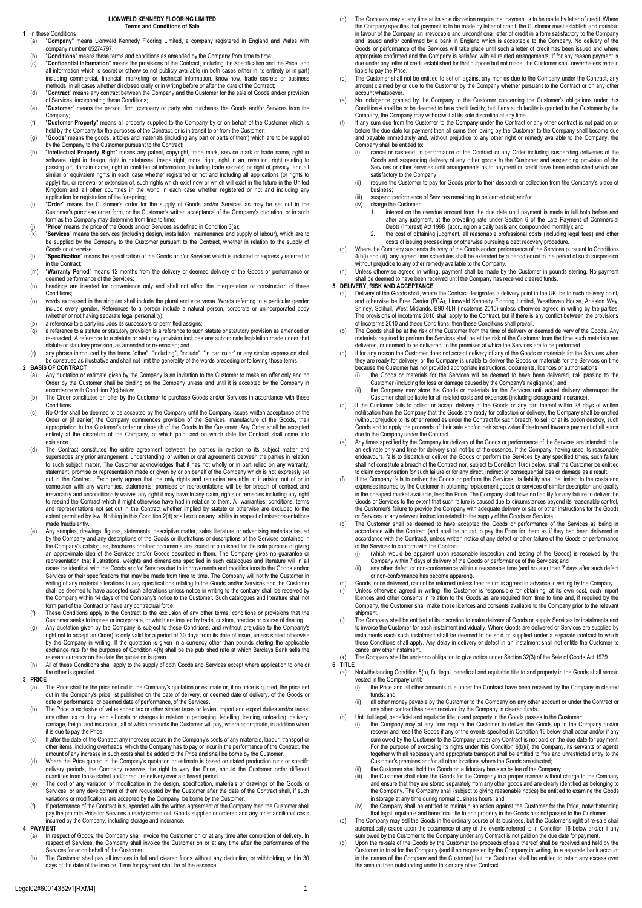#### **LIONWELD KENNEDY FLOORING LIMITED Terms and Conditions of Sale**

# **1** In these Conditions<br>(a) **"Company"**

- "Company" means Lionweld Kennedy Flooring Limited, a company registered in England and Wales with company number 05274797;
- (b) "**Conditions**" means these terms and conditions as amended by the Company from time to time;
- (c) "**Confidential Information**" means the provisions of the Contract, including the Specification and the Price, and all information which is secret or otherwise not publicly available (in both cases either in its entirety or in part) including commercial, financial, marketing or technical information, know-how, trade secrets or business methods, in all cases whether disclosed orally or in writing before or after the date of the Contract;
- (d) "**Contract**" means any contract between the Company and the Customer for the sale of Goods and/or provision of Services, incorporating these Conditions; (e) "**Customer**" means the person, firm, company or party who purchases the Goods and/or Services from the
- Company;
- (f) "Customer Property" means all property supplied to the Company by or on behalf of the Customer which is held by the Company for the purposes of the Contract, or is in transit to or from the Customer; (g) "**Goods**" means the goods, articles and materials (including any part or parts of them) which are to be supplied
- by the Company to the Customer pursuant to the Contract; (h) "Intellectual Property Right" means any patent, copyright, trade mark, service mark or trade name, right in software, right in forestight in destabases, image right, moral rights passing off, domain name, right in conf
- Kingdom and all other countries in the world in each case whether registered or not and including any<br>application for registration of the foregoing;<br>(i) "Order" means the Customer's order for the supply of Goods and/or Ser form as the Company may determine from time to time:
- (j) **"Price"** means the price of the Goods and/or Services as defined in Condition 3(a);<br>(k) **"Services"** means the services (including design, installation, maintenance and st
- (k) "Services" means the services (including design, installation, maintenance and supply of labour), which are to<br>be supplied by the Company to the Customer pursuant to the Contract, whether in relation to the supply of Goods or otherwise;
- (l) "**Specification**" means the specification of the Goods and/or Services which is included or expressly referred to in the Contract;
- (m) "**Warranty Period**" means 12 months from the delivery or deemed delivery of the Goods or performance or deemed performance of the Services;
- (n) headings are inserted for convenience only and shall not affect the interpretation or construction of these Conditions;
- (o) words expressed in the singular shall include the plural and vice versa. Words referring to a particular gender include every gender. References to a person include a natural person, corporate or unincorporated body gender.
- 
- (whether or not having separate legal personality);<br>(p) areference to a party includes its successors or permitted assigns;<br>(q) a reference to a statute or statutory provision is a reference to such statute or statutory pr re-enacted. A reference to a statute or statutory provision includes any subordinate legislation made under that statute or statutory provision, as amended or re-enacted; and
- (r) any phrase introduced by the terms "other", "including", "include", "in particular" or any similar expression shall<br>be construed as illustrative and shall not limit the generality of the words preceding or following th

### **2 BASIS OF CONTRACT**

- (a) Any quotation or estimate given by the Company is an invitation to the Customer to make an offer only and no Order by the Customer shall be binding on the Company unless and until it is accepted by the Company in accordance with Condition 2(c) below.
- (b) The Order constitutes an offer by the Customer to purchase Goods and/or Services in accordance with these Conditions.
- (c) No Order shall be deemed to be accepted by the Company until the Company issues written acceptance of the Order or (if earlier) the Company commences provision of the Services, manufacture of the Goods, their<br>appropriation to the Customer's order or dispatch of the Goods to the Customer. Any Order shall be accepted entirely at the discretion of the Company, at which point and on which date the Contract shall come into
- existence.<br>
(d) The Contract constitutes the entire agreement between the parties in relation to its subject matter and<br>
supersedes any prior arrangement, understanding, or written or oral agreements between the parties in to rescind the Contract which it might otherwise have had in relation to them. All warranties, conditions, terms and representations not set out in the Contract whether implied by statute or otherwise are excluded to the extent permitted by law. Nothing in this Condition 2(d) shall exclude any liability in respect of misrepresentations made fraudulently.
- (e) Any samples, drawings, figures, statements, descriptive matter, sales literature or advertising materials issued by the Company and any descriptions of the Goods or illustrations or descriptions of the Services contains the Company and any descriptions of the Goods or illustrations or descriptions of the Services contains the Company's catalogues, brochures or other documents are issued or published for the sole purpose of giving an approximate idea of the Services and/or Goods described in them. The Company gives no guarantee or representation that illustrations, weights and dimensions specified in such catalogues and literature will in all es be identical with the Goods and/or Services due to improvements and modifications to the Goods and/or Services or their specifications that may be made from time to time. The Company will notify the Customer in writing of any material alterations to any specifications relating to the Goods and/or Services and the Customer<br>shall be deemed to have accepted such alterations unless notice in writing to the contrary shall be received the Company within 14 days of the Company's notice to the Customer. Such catalogues and literature shall not form part of the Contract or have any contractual force.
- (f) These Conditions apply to the Contract to the exclusion of any other terms, conditions or provisions that the<br>- Customer seeks to impose or incorporate, or which are implied by trade, custom, practice or course of deal
- right not to accept an Order) is only valid for a period of 30 days from its date of issue, unless stated otherwise by the Company in writing. If the quotation is given in a currency other than pounds sterling the applicable<br>exchange rate for the purposes of Condition 4(h) shall be the published rate at which Barclays Bank sells the<br>rel
- (h) All of these Conditions shall apply to the supply of both Goods and Services except where application to one or the other is specified.

## **3 PRICE**

- (a) The Price shall be the price set out in the Company's quotation or estimate or, if no price is quoted, the price set out in the Company's price list published on the date of delivery, or deemed date of delivery, of the Goods or date or performance, or deemed date of performance, of the Services.
- (b) The Price is exclusive of value added tax or other similar taxes or levies, import and export duties and/or taxes, any other tax or duty, and all costs or charges in relation to packaging, labelling, loading, unloading, delivery, carriage, freight and insurance, all of which amounts the Customer will pay, where appropriate, in addition when it is due to pay the Price.
- (c) If after the date of the Contract any increase occurs in the Company's costs of any materials, labour, transport or other items, including overheads, which the Company has to pay or incur in the performance of the Contract, the amount of any increase in such costs shall be added to the Price and shall be borne by the Customer.
- (d) Where the Price quoted in the Company's quotation or estimate is based on stated production runs or specific delivery periods, the Company reserves the right to vary the Price, should the Customer order different
- quantities from those stated and/or require delivery over a different period.<br>(e) The cost of any variation or modification in the design, specification, materials or drawings of the Goods or<br>Services, or any development o variations or modifications are accepted by the Company, be borne by the Customer.
- f) If performance of the Contract is suspended with the written agreement of the Company then the Customer shall<br>pay the pro rata Price for Services already carried out, Goods supplied or ordered and any other additional c

## **4 PAYMENT**

- (a) In respect of Goods, the Company shall invoice the Customer on or at any time after completion of delivery. In respect of Services, the Company shall invoice the Customer on or at any time after the performance of the Services for or on behalf of the Customer.
- (b) The Customer shall pay all invoices in full and cleared funds without any deduction, or withholding, within 30 days of the date of the invoice. Time for payment shall be of the essence.
- (c) The Company may at any time at its sole discretion require that payment is to be made by letter of credit. Where the Company specifies that payment is to be made by letter of credit, the Customer must establish and maintain in favour of the Company an irrevocable and unconditional letter of credit in a form satisfactory to the Company and issued and/or confirmed by a bank in England which is acceptable to the Company. No delivery of the Goods or performance of the Services will take place until such a letter of credit has been issued and where<br>Goods or performance of the Services will take place until such a letter of credit has been issued and where appropriate confirmed and the Company is satisfied with all related arrangements. If for any reason payment is due under any letter of credit established for that purpose but not made, the Customer shall nevertheless remain liable to pay the Price.
- The Customer shall not be entitled to set off against any monies due to the Company under the Contract, any amount claimed by or due to the Customer by the Company whether pursuant to the Contract or on any other account whatsoever
- (e) No indulgence granted by the Company to the Customer concerning the Customer's obligations under this Condition 4 shall be or be deemed to be a credit facility, but if any such facility is granted to the Customer by the Company, the Company may withdraw it at its sole discretion at any time.
- (f) If any sum due from the Customer to the Company under the Contract or any other contract is not paid on or before the due date for payment then all sums then owing by the Customer to the Company shall become due and payable immediately and, without prejudice to any other right or remedy available to the Company, the Company shall be entitled to:<br>(i) cancel or suspend its
	- (i) cancel or suspend its performance of the Contract or any Order including suspending deliveries of the Goods and suspending delivery of any other goods to the Customer and suspending provision of the Services or other services until arrangements as to payment or credit have been established which are satisfactory to the Company;
	- (ii) require the Customer to pay for Goods prior to their despatch or collection from the Company's place of business;
	- (iii) suspend performance of Services remaining to be carried out; and/or (iv) charge the Customer:
		- charge the Customer: interest on the overdue amount from the due date until payment is made in full both before and after any judgment, at the prevailing rate under Section 6 of the Late Payment of Commercial Debts (Interest) Act 1998 (accruing on a daily basis and compounded monthly); and
		-
- 2. the cost of obtaining judgment, all reasonable professional costs (including legal fees) and other<br>costs of issuing proceedings or otherwise pursuand a debt recovery procedure.<br>(g) Where the Company suspends delivery of without prejudice to any other remedy available to the Company.
- (h) Unless otherwise agreed in writing, payment shall be made by the Customer in pounds sterling. No payment shall be deemed to have been received until the Company has received cleared funds.

#### **5 DELIVERY, RISK AND ACCEPTANCE**

- a) Delivery of the Goods shall, where the Contract designates a delivery point in the UK, be to such delivery point,<br>and otherwise be Free Carrier (FCA), Lionweld Kennedy Flooring Limited, Westhaven House, Arleston Way,<br>Sh The provisions of Incoterms 2010 shall apply to the Contract, but if there is any conflict between the provisions of Incoterms 2010 and these Conditions, then these Conditions shall prevail.
- (b) The Goods shall be at the risk of the Customer from the time of delivery or deemed delivery of the Goods. Any<br>materials required to perform the Services shall be at the risk of the Customer from the time such materials materials required to perform the Services shall be at the risk of the Customer from the time delivered, or deemed to be delivered, to the premises at which the Services are to be performed.
- (c) If for any reason the Customer does not accept delivery of any of the Goods or materials for the Services when<br>they are ready for delivery, or the Company is unable to deliver the Goods or materials for the Services on because the Customer has not provided appropriate instructions, documents, licences or authorisations: (i) the Goods or materials for the Services will be deemed to have been delivered, risk passing to the
	- Customer (including for loss or damage caused by the Company's negligence); and (ii) the Company may store the Goods or materials for the Services until actual delivery whereupon the
- Customer shall be liable for all related costs and expenses (including storage and insurance).<br>(d) If the Customer fails to collect or accept delivery of the Goods or any part thereof within 28 days of written<br>notification
- (without prejudice to its other remedies under the Contract for such breach) to sell, or at its option destroy, such<br>Goods and to apply the proceeds of their sale and/or their scrap value if destroyed towards payment of al
- due to the Company under the Contract. (e) Any times specified by the Company for delivery of the Goods or performance of the Services are intended to be an estimate only and time for delivery shall not be of the essence. If the Company, having used its reasonable endeavours, fails to dispatch or deliver the Goods or perform the Services by any specified times, such failure shall not constitute a breach of the Contract nor, subject to Condition 10(d) below, shall the Customer be entitled to claim compensation for such failure or for any direct, indirect or consequential loss or damage as a result.
- (f) If the Company fails to deliver the Goods or perform the Services, its liability shall be limited to the costs and expenses incurred by the Customer in obtaining replacement goods or services of similar description and quality<br>in the cheapest market available, less the Price. The Company shall have no liability for any failure to deliv Goods or Services to the extent that such failure is caused due to circumstances beyond its reasonable control,<br>the Customer's failure to provide the Company with adequate delivery or site or other instructions for the Goo
- or Services or any relevant instruction related to the supply of the Goods or Services. (g) The Customer shall be deemed to have accepted the Goods or performance of the Services as being in accordance with the Contract (and shall be bound to pay the Price for them as if they had been delivered in accordance with the Contract), unless written notice of any defect or other failure of the Goods or performance of the Services to conform with the Contract:<br>(i) (which would be apparent upon reas
	- (which would be apparent upon reasonable inspection and testing of the Goods) is received by the Company within 7 days of delivery of the Goods or performance of the Services; and
	- (ii) any other defect or non-conformance within a reasonable time (and no later than 7 days after such defect or non-conformance has become apparent).
- (h) Goods, once delivered, cannot be returned unless their return is agreed in advance in writing by the Company.<br>(i) Unless otherwise agreed in writing, the Customer is responsible for obtaining, at its own cost, such imp licences and other consents in relation to the Goods as are required from time to time and, if required by the Company, the Customer shall make those licences and consents available to the Company prior to the relevant shipment.
- i) The Company shall be entitled at its discretion to make delivery of Goods or supply Services by instalments and<br>to invoice the Customer for each instalment individually. Where Goods are delivered or Services are supplie instalments each such instalment shall be deemed to be sold or supplied under a separate contract to which these Conditions shall apply. Any delay in delivery or defect in an instalment shall not entitle the Customer to cancel any other instalm

(k) The Company shall be under no obligation to give notice under Section 32(3) of the Sale of Goods Act 1979. **6 TITLE**

- (a) Notwithstanding Condition 5(b), full legal, beneficial and equitable title to and property in the Goods shall remain vested in the Company until:
	- (i) the Price and all other amounts due under the Contract have been received by the Company in cleared funds; and
- (ii) all other money payable by the Customer to the Company on any other account or under the Contract or any other contract has been received by the Company in cleared funds. (b) Until full legal, beneficial and equitable title to and property in the Goods passes to the Customer:
- (i) the Company may at any time require the Customer to deliver the Goods up to the Company and/or recover and resell the Goods if any of the events specified in Condition 16 below shall occur and/or if any sum owed by the Customer to the Company under any Contract is not paid on the due date for payment.
	- For the purpose of exercising its rights under this Condition 6(b)(i) the Company, its servants or agents together with all necessary and appropriate transport shall be entitled to free and unrestricted entry to the
	- Customer's premises and/or all other locations where the Goods are situated; (ii) the Customer shall hold the Goods on a fiduciary basis as bailee of the Company;<br>(iii) the Customer shall store the Goods for the Company in a proper manner without
	- (iii) the Customer shall store the Goods for the Company in a proper manner without charge to the Company and ensure that they are stored separately from any other goods and are clearly identified as belonging to the Company. The Company shall (subject to giving reasonable notice) be entitled to examine the Goods in storage at any time during normal business hours; and
- iv) the Company shall be entitled to maintain an action against the Customer for the Price, notwithstanding)<br>that less and poneficial title to and property in the Goods has not passed to the Customer.<br>(c) The Company may s
- automatically cease upon the occurrence of any of the events referred to in Condition 16 below and/or if any sum owed by the Customer to the Company under any Contract is not paid on the due date for payment.
- (d) Upon the re-sale of the Goods by the Customer the proceeds of sale thereof shall be received and held by the Customer in trust for the Company (and if so requested by the Company in writing, in a separate bank account